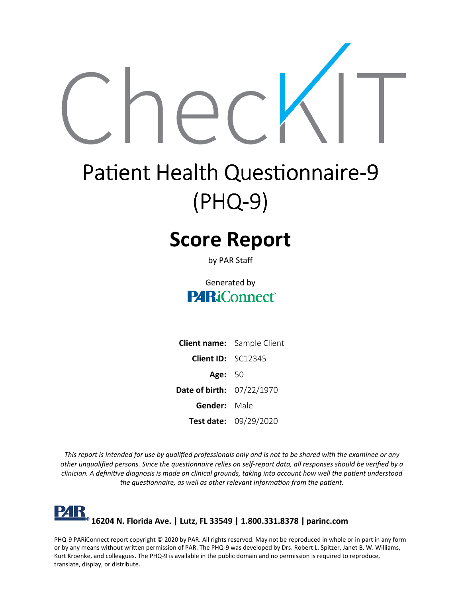

# **Patient Health Questionnaire-9 (PHQ-9)**

# **Score Report**

by PAR Staff

#### Generated by **PARiConnect**

|                                  | <b>Client name:</b> Sample Client |
|----------------------------------|-----------------------------------|
| <b>Client ID:</b> $SC12345$      |                                   |
| <b>Age: 50</b>                   |                                   |
| <b>Date of birth: 07/22/1970</b> |                                   |
| <b>Gender:</b> Male              |                                   |
|                                  | <b>Test date:</b> $09/29/2020$    |

This report is intended for use by qualified professionals only and is not to be shared with the examinee or any other unqualified persons. Since the questionnaire relies on self-report data, all responses should be verified by a clinician. A definitive diagnosis is made on clinical grounds, taking into account how well the patient understood *the questionnaire, as well as other relevant information from the patient.*

#### l'4K **16204 N. Florida Ave. | Lutz, FL 33549 | 1.800.331.8378 | [parinc.com](http://www.parinc.com/)**

PHQ-9 PARiConnect report copyright © 2020 by PAR. All rights reserved. May not be reproduced in whole or in part in any form or by any means without written permission of PAR. The PHQ-9 was developed by Drs. Robert L. Spitzer, Janet B. W. Williams, Kurt Kroenke, and colleagues. The PHQ-9 is available in the public domain and no permission is required to reproduce, translate, display, or distribute.